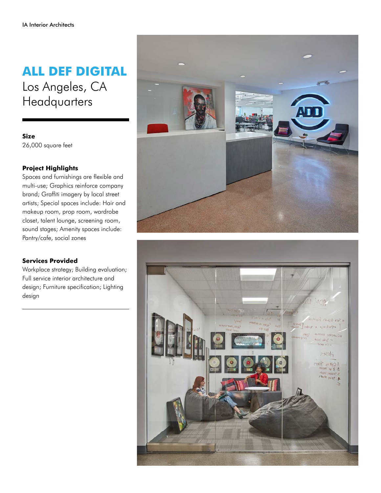## **ALL DEF DIGITAL** Los Angeles, CA **Headquarters**

**Size** 26,000 square feet

## **Project Highlights**

Spaces and furnishings are flexible and multi-use; Graphics reinforce company brand; Graffiti imagery by local street artists; Special spaces include: Hair and makeup room, prop room, wardrobe closet, talent lounge, screening room, sound stages; Amenity spaces include: Pantry/cafe, social zones

## **Services Provided**

Workplace strategy; Building evaluation; Full service interior architecture and design; Furniture specification; Lighting design